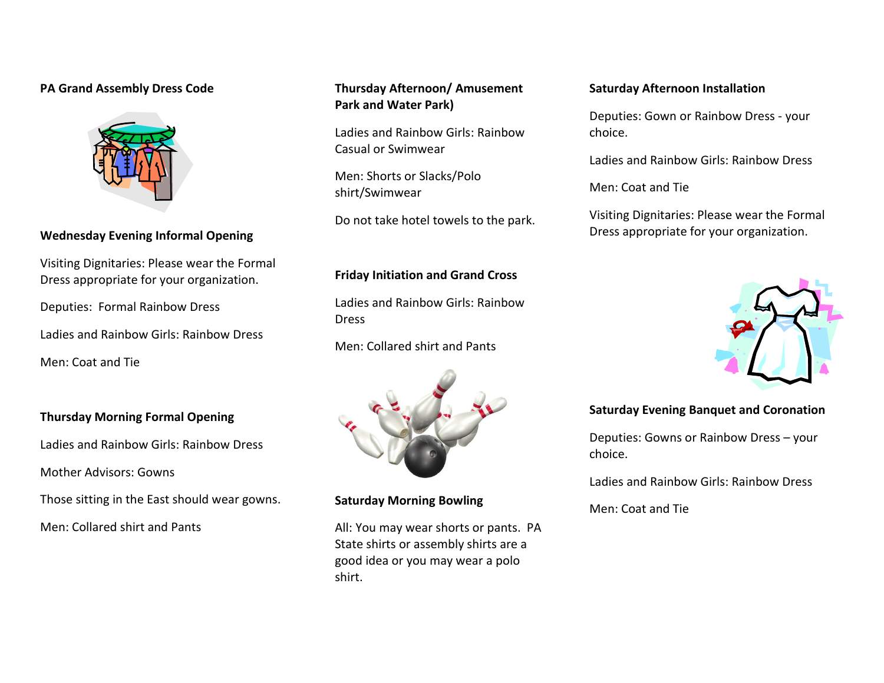### **PA Grand Assembly Dress Code**



# **Wednesday Evening Informal Opening**

Visiting Dignitaries: Please wear the Formal Dress appropriate for your organization.

Deputies: Formal Rainbow Dress

Ladies and Rainbow Girls: Rainbow Dress

Men: Coat and Tie

### **Thursday Morning Formal Opening**

Ladies and Rainbow Girls: Rainbow Dress

Mother Advisors: Gowns

Those sitting in the East should wear gowns.

Men: Collared shirt and Pants

# **Thursday Afternoon/ Amusement Park and Water Park)**

Ladies and Rainbow Girls: Rainbow Casual or Swimwear

Men: Shorts or Slacks/Polo shirt/Swimwear

Do not take hotel towels to the park.

## **Friday Initiation and Grand Cross**

Ladies and Rainbow Girls: Rainbow Dress

Men: Collared shirt and Pants



### **Saturday Morning Bowling**

All: You may wear shorts or pants. PA State shirts or assembly shirts are a good idea or you may wear a polo shirt.

### **Saturday Afternoon Installation**

Deputies: Gown or Rainbow Dress - your choice.

Ladies and Rainbow Girls: Rainbow Dress

Men: Coat and Tie

Visiting Dignitaries: Please wear the Formal Dress appropriate for your organization.



## **Saturday Evening Banquet and Coronation**

Deputies: Gowns or Rainbow Dress – your choice.

Ladies and Rainbow Girls: Rainbow Dress

Men: Coat and Tie